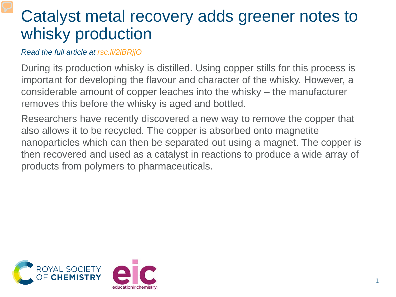## Catalyst metal recovery adds greener notes to whisky production

*Read the full article at [rsc.li/2lBRjjO](https://rsc.li/2lBRjjO)*

During its production whisky is distilled. Using copper stills for this process is important for developing the flavour and character of the whisky. However, a considerable amount of copper leaches into the whisky – the manufacturer removes this before the whisky is aged and bottled.

Researchers have recently discovered a new way to remove the copper that also allows it to be recycled. The copper is absorbed onto magnetite nanoparticles which can then be separated out using a magnet. The copper is then recovered and used as a catalyst in reactions to produce a wide array of products from polymers to pharmaceuticals.